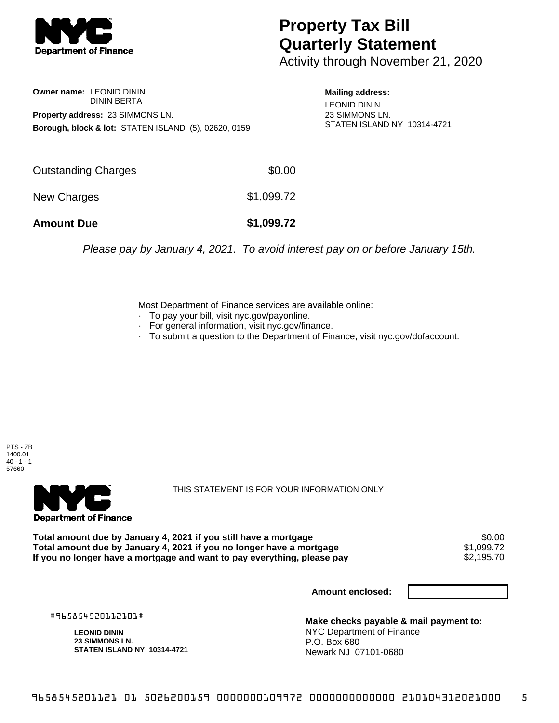

## **Property Tax Bill Quarterly Statement**

Activity through November 21, 2020

**Owner name:** LEONID DININ DININ BERTA **Property address:** 23 SIMMONS LN. **Borough, block & lot:** STATEN ISLAND (5), 02620, 0159

**Mailing address:** LEONID DININ 23 SIMMONS LN. STATEN ISLAND NY 10314-4721

| <b>Amount Due</b>   | \$1,099.72 |
|---------------------|------------|
| New Charges         | \$1,099.72 |
| Outstanding Charges | \$0.00     |

Please pay by January 4, 2021. To avoid interest pay on or before January 15th.

Most Department of Finance services are available online:

- · To pay your bill, visit nyc.gov/payonline.
- For general information, visit nyc.gov/finance.
- · To submit a question to the Department of Finance, visit nyc.gov/dofaccount.





THIS STATEMENT IS FOR YOUR INFORMATION ONLY

Total amount due by January 4, 2021 if you still have a mortgage  $$0.00$ <br>Total amount due by January 4, 2021 if you no longer have a mortgage  $$1,099.72$ **Total amount due by January 4, 2021 if you no longer have a mortgage**  $$1,099.72$$ **<br>If you no longer have a mortgage and want to pay everything, please pay**  $$2,195.70$$ If you no longer have a mortgage and want to pay everything, please pay

**Amount enclosed:**

#965854520112101#

**LEONID DININ 23 SIMMONS LN. STATEN ISLAND NY 10314-4721**

**Make checks payable & mail payment to:** NYC Department of Finance P.O. Box 680 Newark NJ 07101-0680